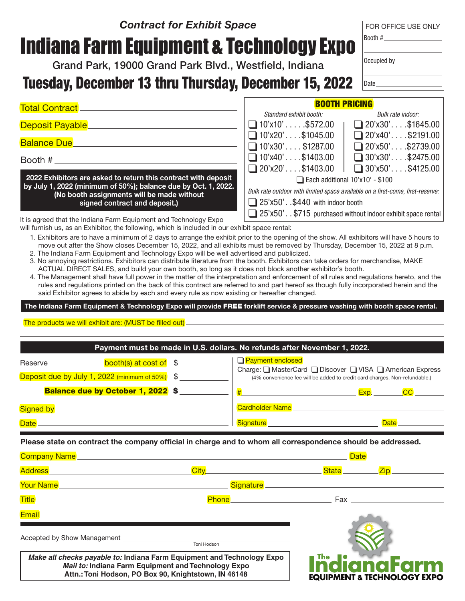| <b>Contract for Exhibit Space</b>                                                                                                                                                                                                                                                                                                                                                                                                                                                                                                                                                                                                                                                                                                                                                                                                                             |                                                        | FOR OFFICE USE ONLY                                                            |
|---------------------------------------------------------------------------------------------------------------------------------------------------------------------------------------------------------------------------------------------------------------------------------------------------------------------------------------------------------------------------------------------------------------------------------------------------------------------------------------------------------------------------------------------------------------------------------------------------------------------------------------------------------------------------------------------------------------------------------------------------------------------------------------------------------------------------------------------------------------|--------------------------------------------------------|--------------------------------------------------------------------------------|
|                                                                                                                                                                                                                                                                                                                                                                                                                                                                                                                                                                                                                                                                                                                                                                                                                                                               |                                                        |                                                                                |
| Indiana Farm Equipment & Technology Expo                                                                                                                                                                                                                                                                                                                                                                                                                                                                                                                                                                                                                                                                                                                                                                                                                      |                                                        |                                                                                |
| Grand Park, 19000 Grand Park Blvd., Westfield, Indiana                                                                                                                                                                                                                                                                                                                                                                                                                                                                                                                                                                                                                                                                                                                                                                                                        |                                                        |                                                                                |
| Tuesday, December 13 thru Thursday, December 15, 2022                                                                                                                                                                                                                                                                                                                                                                                                                                                                                                                                                                                                                                                                                                                                                                                                         |                                                        | Date_________                                                                  |
| Total Contract <u>____________________________</u>                                                                                                                                                                                                                                                                                                                                                                                                                                                                                                                                                                                                                                                                                                                                                                                                            |                                                        | <b>BOOTH PRICING</b>                                                           |
| Deposit Payable <b>Deposition</b>                                                                                                                                                                                                                                                                                                                                                                                                                                                                                                                                                                                                                                                                                                                                                                                                                             | Standard exhibit booth:<br>$10'$ x10' $\dots$ \$572.00 | Bulk rate indoor:<br>$\Box$ 20'x30'\$1645.00                                   |
| Balance Due                                                                                                                                                                                                                                                                                                                                                                                                                                                                                                                                                                                                                                                                                                                                                                                                                                                   | $10'x20'$ \$1045.00                                    | $\Box$ 20'x40'\$2191.00                                                        |
|                                                                                                                                                                                                                                                                                                                                                                                                                                                                                                                                                                                                                                                                                                                                                                                                                                                               | $\Box$ 10'x30'\$1287.00<br>$10'$ x40'\$1403.00         | $\Box$ 20'x50'\$2739.00<br>$30'$ x30'\$2475.00                                 |
| Booth #                                                                                                                                                                                                                                                                                                                                                                                                                                                                                                                                                                                                                                                                                                                                                                                                                                                       | $20'x20'$ \$1403.00                                    | $\Box$ 30'x50'\$4125.00                                                        |
| 2022 Exhibitors are asked to return this contract with deposit<br>by July 1, 2022 (minimum of 50%); balance due by Oct. 1, 2022.                                                                                                                                                                                                                                                                                                                                                                                                                                                                                                                                                                                                                                                                                                                              |                                                        | $\Box$ Each additional 10'x10' - \$100                                         |
| (No booth assignments will be made without                                                                                                                                                                                                                                                                                                                                                                                                                                                                                                                                                                                                                                                                                                                                                                                                                    |                                                        | Bulk rate outdoor with limited space available on a first-come, first-reserve: |
| signed contract and deposit.)                                                                                                                                                                                                                                                                                                                                                                                                                                                                                                                                                                                                                                                                                                                                                                                                                                 | $\Box$ 25'x50'. .\$440 with indoor booth               | 25'x50'. \$715 purchased without indoor exhibit space rental                   |
| It is agreed that the Indiana Farm Equipment and Technology Expo<br>will furnish us, as an Exhibitor, the following, which is included in our exhibit space rental:                                                                                                                                                                                                                                                                                                                                                                                                                                                                                                                                                                                                                                                                                           |                                                        |                                                                                |
| move out after the Show closes December 15, 2022, and all exhibits must be removed by Thursday, December 15, 2022 at 8 p.m.<br>2. The Indiana Farm Equipment and Technology Expo will be well advertised and publicized.<br>3. No annoying restrictions. Exhibitors can distribute literature from the booth. Exhibitors can take orders for merchandise, MAKE<br>ACTUAL DIRECT SALES, and build your own booth, so long as it does not block another exhibitor's booth.<br>4. The Management shall have full power in the matter of the interpretation and enforcement of all rules and regulations hereto, and the<br>rules and regulations printed on the back of this contract are referred to and part hereof as though fully incorporated herein and the<br>said Exhibitor agrees to abide by each and every rule as now existing or hereafter changed. |                                                        |                                                                                |
| The Indiana Farm Equipment & Technology Expo will provide FREE forklift service & pressure washing with booth space rental.                                                                                                                                                                                                                                                                                                                                                                                                                                                                                                                                                                                                                                                                                                                                   |                                                        |                                                                                |
| The products we will exhibit are: (MUST be filled out).                                                                                                                                                                                                                                                                                                                                                                                                                                                                                                                                                                                                                                                                                                                                                                                                       |                                                        |                                                                                |
|                                                                                                                                                                                                                                                                                                                                                                                                                                                                                                                                                                                                                                                                                                                                                                                                                                                               |                                                        |                                                                                |
| Payment must be made in U.S. dollars. No refunds after November 1, 2022.                                                                                                                                                                                                                                                                                                                                                                                                                                                                                                                                                                                                                                                                                                                                                                                      |                                                        |                                                                                |
|                                                                                                                                                                                                                                                                                                                                                                                                                                                                                                                                                                                                                                                                                                                                                                                                                                                               |                                                        |                                                                                |
| Reserve _________________ booth(s) at cost of<br>$\frac{1}{2}$                                                                                                                                                                                                                                                                                                                                                                                                                                                                                                                                                                                                                                                                                                                                                                                                | <b>Payment enclosed</b>                                | Charge: MasterCard Discover DVISA D American Express                           |
| Deposit due by July 1, 2022 (minimum of 50%)<br>$\frac{1}{\sqrt{2}}$                                                                                                                                                                                                                                                                                                                                                                                                                                                                                                                                                                                                                                                                                                                                                                                          |                                                        | (4% convenience fee will be added to credit card charges. Non-refundable.)     |
| Balance due by October 1, 2022 \$                                                                                                                                                                                                                                                                                                                                                                                                                                                                                                                                                                                                                                                                                                                                                                                                                             |                                                        |                                                                                |
| Signed by Signed by Signed by Signed by Signed by Signed by Signed by Signed by Signed by Signed Burghers and                                                                                                                                                                                                                                                                                                                                                                                                                                                                                                                                                                                                                                                                                                                                                 |                                                        |                                                                                |
|                                                                                                                                                                                                                                                                                                                                                                                                                                                                                                                                                                                                                                                                                                                                                                                                                                                               | Signature __________________________________           | Date ______                                                                    |
| Please state on contract the company official in charge and to whom all correspondence should be addressed.                                                                                                                                                                                                                                                                                                                                                                                                                                                                                                                                                                                                                                                                                                                                                   |                                                        |                                                                                |
|                                                                                                                                                                                                                                                                                                                                                                                                                                                                                                                                                                                                                                                                                                                                                                                                                                                               |                                                        | <b>Date Date</b>                                                               |
|                                                                                                                                                                                                                                                                                                                                                                                                                                                                                                                                                                                                                                                                                                                                                                                                                                                               |                                                        |                                                                                |
| <u>Your Name recommending the set of the set of the set of the set of the set of the set of the set of the set of the set of the set of the set of the set of the set of the set of the set of the set of the set of the set of </u>                                                                                                                                                                                                                                                                                                                                                                                                                                                                                                                                                                                                                          |                                                        |                                                                                |
| <b>Title</b>                                                                                                                                                                                                                                                                                                                                                                                                                                                                                                                                                                                                                                                                                                                                                                                                                                                  |                                                        |                                                                                |
| Email<br>Toni Hodson<br>Make all checks payable to: Indiana Farm Equipment and Technology Expo                                                                                                                                                                                                                                                                                                                                                                                                                                                                                                                                                                                                                                                                                                                                                                |                                                        |                                                                                |